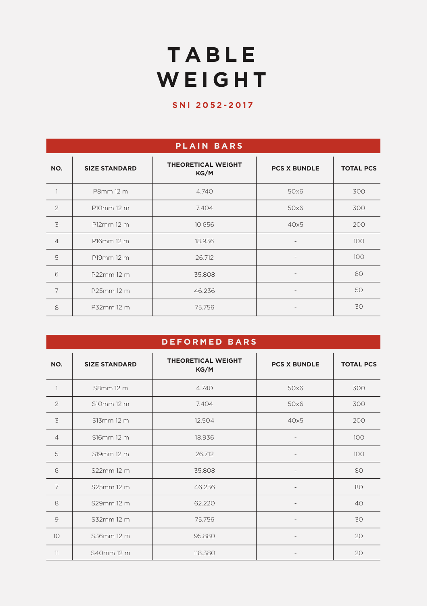# **TABLE WEIGHT**

### **SNI 2052-2017**

| <b>PLAIN BARS</b> |                      |                                   |                          |                  |  |  |  |  |  |
|-------------------|----------------------|-----------------------------------|--------------------------|------------------|--|--|--|--|--|
| NO.               | <b>SIZE STANDARD</b> | <b>THEORETICAL WEIGHT</b><br>KG/M | <b>PCS X BUNDLE</b>      | <b>TOTAL PCS</b> |  |  |  |  |  |
|                   | P8mm 12 m            | 4.740                             | 50x6                     | 300              |  |  |  |  |  |
| $\overline{2}$    | P10mm 12 m           | 7.404                             | 50x6                     | 300              |  |  |  |  |  |
| 3                 | P12mm 12 m           | 10.656                            | 40x5                     | 200              |  |  |  |  |  |
| $\overline{4}$    | P16mm 12 m           | 18.936                            | $\overline{\phantom{0}}$ | 100              |  |  |  |  |  |
| 5                 | P19mm 12 m           | 26.712                            | $\overline{\phantom{a}}$ | 100              |  |  |  |  |  |
| 6                 | P22mm 12 m           | 35.808                            | $\overline{\phantom{0}}$ | 80               |  |  |  |  |  |
| $\overline{7}$    | P25mm 12 m           | 46.236                            | $\overline{\phantom{a}}$ | 50               |  |  |  |  |  |
| 8                 | P32mm 12 m           | 75.756                            | $\qquad \qquad -$        | 30               |  |  |  |  |  |

| <b>DEFORMED BARS</b> |                      |                                   |                          |                  |  |  |  |  |  |
|----------------------|----------------------|-----------------------------------|--------------------------|------------------|--|--|--|--|--|
| NO.                  | <b>SIZE STANDARD</b> | <b>THEORETICAL WEIGHT</b><br>KG/M | <b>PCS X BUNDLE</b>      | <b>TOTAL PCS</b> |  |  |  |  |  |
| 1                    | S8mm 12 m            | 4.740                             | 50x6                     | 300              |  |  |  |  |  |
| $\overline{2}$       | S10mm 12 m           | 7.404                             | 50x6                     | 300              |  |  |  |  |  |
| 3                    | S13mm 12 m           | 12.504                            | 40x5                     | 200              |  |  |  |  |  |
| $\overline{4}$       | S16mm 12 m           | 18.936                            | $\overline{\phantom{a}}$ | 100              |  |  |  |  |  |
| 5                    | S19mm 12 m           | 26.712                            |                          | 100              |  |  |  |  |  |
| 6                    | S22mm 12 m           | 35.808                            |                          | 80               |  |  |  |  |  |
| $\overline{7}$       | S25mm 12 m           | 46.236                            |                          | 80               |  |  |  |  |  |
| 8                    | S29mm 12 m           | 62.220                            |                          | 40               |  |  |  |  |  |
| $\mathcal{Q}$        | S32mm 12 m           | 75.756                            |                          | 30               |  |  |  |  |  |
| 10                   | S36mm 12 m           | 95.880                            |                          | 20               |  |  |  |  |  |
| 11                   | S40mm 12 m           | 118.380                           |                          | 20               |  |  |  |  |  |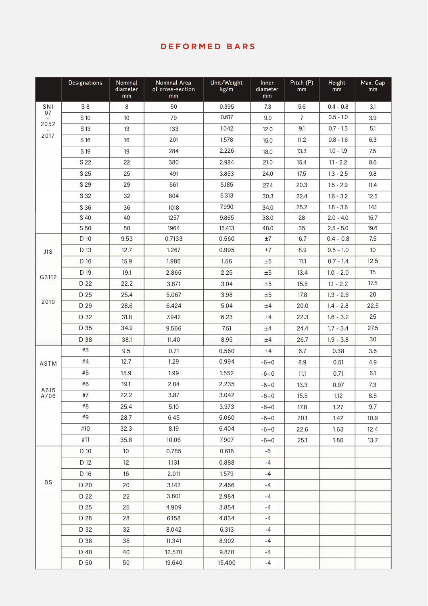#### **DEFORMED BARS**

|            | Designations | Nominal<br>diameter<br>mm | Nominal Area<br>of cross-section<br>mm | Unit/Weight<br>kg/m | <b>Inner</b><br>diameter<br>mm | Pitch (P)<br>mm | Height<br>mm | Max. Gap<br>mm |
|------------|--------------|---------------------------|----------------------------------------|---------------------|--------------------------------|-----------------|--------------|----------------|
| SNI        | S8           | 8                         | 50                                     | 0.395               | 7.3                            | 5.6             | $0.4 - 0.8$  | 3.1            |
| 07         | S 10         | 10                        | 79                                     | 0.617               | 9.0                            | $\overline{7}$  | $0.5 - 1.0$  | 3.9            |
| 2052       | S 13         | 13                        | 133                                    | 1.042               | 12.0                           |                 | $0.7 - 1.3$  | 5.1            |
| 2017       | S 16         | 16                        | 201                                    | 1.578               | 15.0                           | 11.2            | $0.8 - 1.6$  | 6.3            |
|            | S 19         | 19                        | 284                                    | 2.226               | 18.0                           | 13.3            | $1.0 - 1.9$  | 7.5            |
|            | S 22         | 22                        | 380                                    | 2.984               | 21.0                           | 15.4            | $1.1 - 2.2$  | 8.6            |
|            | S 25         | 25                        | 491                                    | 3.853               | 24.0                           | 17.5            | $1.3 - 2.5$  | 9.8            |
|            | S 29         | 29                        | 661                                    | 5.185               | 27.4                           | 20.3            | $1.5 - 2.9$  | 11.4           |
|            | S 32         | 32                        | 804                                    | 6.313               | 30.3                           | 22.4            | $1.6 - 3.2$  | 12.5           |
|            | S 36         | 36                        | 1018                                   | 7.990               | 34.0                           | 25.2            | $1.8 - 3.6$  | 14.1           |
|            | S 40         | 40                        | 1257                                   | 9.865               | 38.0                           | 28              | $2.0 - 4.0$  | 15.7           |
|            | S 50         | 50                        | 1964                                   | 15.413              | 48.0                           | 35              | $2.5 - 5.0$  | 19.6           |
|            | D 10         | 9.53                      | 0.7133                                 | 0.560               | ±7                             | 6.7             | $0.4 - 0.8$  | 7.5            |
| <b>JIS</b> | D 13         | 12.7                      | 1.267                                  | 0.995               | ±7                             | 8.9             | $0.5 - 1.0$  | 10             |
|            | D 16         | 15.9                      | 1.986                                  | 1.56                | ±5                             | 11.1            | $0.7 - 1.4$  | 12.5           |
| G3112      | D 19         | 19.1                      | 2.865                                  | 2.25                | ±5                             | 13.4            | $1.0 - 2.0$  | 15             |
|            | D 22         | 22.2                      | 3.871                                  | 3.04                | ±5                             | 15.5            | $1.1 - 2.2$  | 17.5           |
| 2010       | D 25         | 25.4                      | 5.067                                  | 3.98                | ±5                             | 17.8            | $1.3 - 2.6$  | 20             |
|            | D 29         | 28.6                      | 6.424                                  | 5.04                | ±4                             | 20.0            | $1.4 - 2.8$  | 22.5           |
|            | D 32         | 31.8                      | 7.942                                  | 6.23                | ±4                             | 22.3            | $1.6 - 3.2$  | 25             |
|            | D 35         | 34.9                      | 9.566                                  | 7.51                | ±4                             | 24.4            | $1.7 - 3.4$  | 27.5           |
|            | D 38         | 38.1                      | 11.40                                  | 8.95                | ±4                             | 26.7            | $1.9 - 3.8$  | 30             |
|            | #3           | 9.5                       | 0.71                                   | 0.560               | ±4                             | 6.7             | 0.38         | 3.6            |
| ASTM       | #4           | 12.7                      | 1.29                                   | 0.994               | $-6+0$                         | 8.9             | 0.51         | 4.9            |
|            | #5           | 15.9                      | 1.99                                   | 1.552               | $-6+0$                         | 11.1            | 0.71         | 6.1            |
| A615       | #6           | 19.1                      | 2.84                                   | 2.235               | $-6+0$                         | 13.3            | 0.97         | 7.3            |
| A706       | #7           | 22.2                      | 3.87                                   | 3.042               | $-6 + 0$                       | 15.5            | 1.12         | 8.5            |
|            | #8           | 25.4                      | 5.10                                   | 3.973               | $-6+0$                         | 17.8            | 1.27         | 9.7            |
|            | #9           | 28.7                      | 6.45                                   | 5.060               | $-6 + 0$                       | 20.1            | 1.42         | 10.9           |
|            | #10          | 32.3                      | 8.19                                   | 6.404               | $-6+0$                         | 22.6            | 1.63         | 12.4           |
|            | #11          | 35.8                      | 10.06                                  | 7.907               | $-6 + 0$                       | 25.1            | 1.80         | 13.7           |
|            | D 10         | 10 <sup>°</sup>           | 0.785                                  | 0.616               | -6                             |                 |              |                |
|            | D 12         | 12                        | 1.131                                  | 0.888               | $-4$                           |                 |              |                |
|            | D 16         | 16                        | 2.011                                  | 1.579               | $-4$                           |                 |              |                |
| <b>BS</b>  | D 20         | 20                        | 3.142                                  | 2.466               | $-4$                           |                 |              |                |
|            | D 22         | 22                        | 3.801                                  | 2.984               | $-4$                           |                 |              |                |
|            | D 25         | 25                        | 4.909                                  | 3.854               | $-4$                           |                 |              |                |
|            | D 28         | 28                        | 6.158                                  | 4.834               | $-4$                           |                 |              |                |
|            | D 32         | 32                        | 8.042                                  | 6.313               | -4                             |                 |              |                |
|            | D 38         | 38                        | 11.341                                 | 8.902               | $-4$                           |                 |              |                |
|            | D 40         | 40                        | 12.570                                 | 9.870               | -4                             |                 |              |                |
|            | D 50         | 50                        | 19.640                                 | 15.400              | $-4$                           |                 |              |                |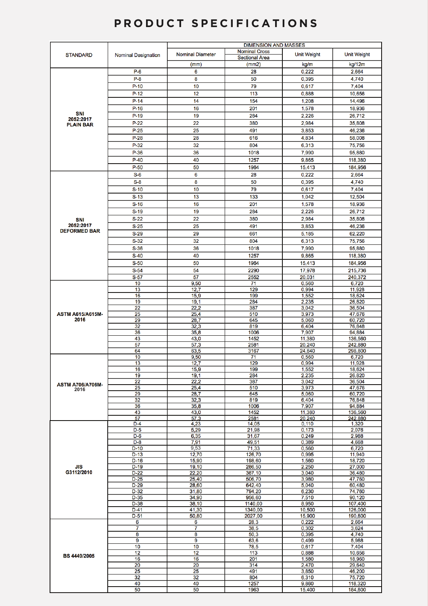## **PRODUCT SPECIFICATIONS**

|                               |                            | <b>DIMENSION AND MASSES</b> |                       |                    |                    |  |  |  |  |
|-------------------------------|----------------------------|-----------------------------|-----------------------|--------------------|--------------------|--|--|--|--|
| <b>STANDARD</b>               | <b>Nominal Designation</b> | <b>Nominal Diameter</b>     | <b>Nominal Cross</b>  | <b>Unit Weight</b> | <b>Unit Weight</b> |  |  |  |  |
|                               |                            |                             | <b>Sectional Area</b> |                    |                    |  |  |  |  |
|                               |                            | (mm)                        | (mm2)                 | kg/m               | kg/12m             |  |  |  |  |
|                               | $P-6$                      | 6                           | 28                    | 0,222              | 2,664              |  |  |  |  |
|                               | $P-8$                      | 8                           | 50                    | 0,395              | 4,740              |  |  |  |  |
|                               | $P-10$                     | 10                          | 79                    | 0,617              | 7,404              |  |  |  |  |
|                               | $P-12$                     | 12                          | 113                   | 0,888              | 10,656             |  |  |  |  |
|                               | $P-14$                     | 14                          | 154                   | 1,208              | 14,496             |  |  |  |  |
|                               | $P-16$                     | 16                          | 201                   | 1,578              | 18,936             |  |  |  |  |
| <b>SNI</b>                    | $P-19$                     | 19                          | 284                   | 2,226              | 26,712             |  |  |  |  |
| 2052:2017<br><b>PLAIN BAR</b> | $P-22$                     | 22                          | 380                   | 2,984              | 35,808             |  |  |  |  |
|                               | $P-25$                     | 25                          | 491                   | 3,853              | 46,236             |  |  |  |  |
|                               | $P-28$                     | 28                          | 616                   | 4,834              | 58,008             |  |  |  |  |
|                               | $P-32$                     | 32                          | 804                   | 6,313              | 75,756             |  |  |  |  |
|                               | $P-36$                     | 36                          | 1018                  | 7,990              |                    |  |  |  |  |
|                               |                            |                             |                       |                    | 95,880             |  |  |  |  |
|                               | $P-40$                     | 40                          | 1257                  | 9,865              | 118,380            |  |  |  |  |
|                               | $P-50$                     | 50                          | 1964                  | 15,413             | 184,956            |  |  |  |  |
|                               | $S-6$                      | 6                           | 28                    | 0,222              | 2,664              |  |  |  |  |
|                               | $S-8$                      | 8                           | 50                    | 0,395              | 4,740              |  |  |  |  |
|                               | $S-10$                     | 10                          | 79                    | 0,617              | 7,404              |  |  |  |  |
|                               | $S-13$                     | 13                          | 133                   | 1,042              | 12,504             |  |  |  |  |
|                               | $S-16$                     | 16                          | 201                   | 1,578              | 18,936             |  |  |  |  |
|                               | $S-19$                     | 19                          | 284                   | 2,226              | 26,712             |  |  |  |  |
|                               | $S-22$                     | 22                          | 380                   | 2,984              | 35,808             |  |  |  |  |
| SNI<br>2052:2017              | $S-25$                     | 25                          | 491                   | 3,853              | 46,236             |  |  |  |  |
| <b>DEFORMED BAR</b>           |                            |                             |                       |                    |                    |  |  |  |  |
|                               | $S-29$                     | 29                          | 661                   | 5,185              | 62,220             |  |  |  |  |
|                               | $S-32$                     | 32                          | 804                   | 6,313              | 75,756             |  |  |  |  |
|                               | $S-36$                     | 36                          | 1018                  | 7,990              | 95,880             |  |  |  |  |
|                               | $S-40$                     | 40                          | 1257                  | 9,865              | 118,380            |  |  |  |  |
|                               | $S-50$                     | 50                          | 1964                  | 15,413             | 184,956            |  |  |  |  |
|                               | $S-54$                     | 54                          | 2290                  | 17,978             | 215,736            |  |  |  |  |
|                               | $S-57$                     | 57                          | 2552                  | 20,031             | 240,372            |  |  |  |  |
|                               | 10                         | 9,50                        | 71                    | 0,560              | 6,720              |  |  |  |  |
|                               | 13                         | 12,7                        | 129                   | 0,994              | 11,928             |  |  |  |  |
|                               | 16                         | 15,9                        | 199                   | 1,552              | 18,624             |  |  |  |  |
|                               | 19                         | 19,1                        | 284                   | 2,235              | 26,820             |  |  |  |  |
| <b>ASTM A615/A615M-</b>       | 22<br>25                   | 22,2<br>25,4                | 387<br>510            | 3,042<br>3,973     | 36,504             |  |  |  |  |
| 2016                          | 29                         | 28,7                        | 645                   | 5,060              | 47,676<br>60,720   |  |  |  |  |
|                               | 32                         | 32,3                        | 819                   | 6,404              | 76,848             |  |  |  |  |
|                               | 36                         | 35,8                        | 1006                  | 7,907              | 94,884             |  |  |  |  |
|                               | 43                         | 43,0                        | 1452                  | 11,380             | 136,560            |  |  |  |  |
|                               | 57                         | 57,3                        | 2581                  | 20,240             | 242,880            |  |  |  |  |
|                               | 64                         | 63,5                        | 3167                  | 24,840             | 298,800            |  |  |  |  |
|                               | 10                         | 9,50                        | 71                    | 0,560              | 6,720              |  |  |  |  |
|                               | 13                         | 12,7                        | 129                   | 0,994              | 11 928             |  |  |  |  |
|                               | 16                         | 15,9                        | 199                   | 1,552              | 18,624             |  |  |  |  |
|                               | 19<br>22                   | 19,1<br>22,2                | 284<br>387            | 2,235<br>3,042     | 26,820<br>36,504   |  |  |  |  |
| <b>ASTM A706/A706M-</b>       | 25                         | 25,4                        | 510                   | 3.973              | 47,676             |  |  |  |  |
| 2016                          | 29                         | 28,7                        | 645                   | 5,060              | 60,720             |  |  |  |  |
|                               | 32                         | 32,3                        | 819                   | 6,404              | 76,848             |  |  |  |  |
|                               | 36                         | 35,8                        | 1006                  | 7,907              | 94,884             |  |  |  |  |
|                               | 43                         | 43,0                        | 1452                  | 11,380             | 136,560            |  |  |  |  |
|                               | 57                         | 57,3                        | 2581                  | 20,240             | 242,880            |  |  |  |  |
|                               | D-4                        | 4,23                        | 14,05                 | 0,110              | 1,320              |  |  |  |  |
|                               | $D-5$<br>$D-6$             | 5,29<br>6,35                | 21,98<br>31,67        | 0,173<br>0,249     | 2,076<br>2,988     |  |  |  |  |
|                               | $D-8$                      | 7,91                        | 49,51                 | 0,389              | 4,668              |  |  |  |  |
|                               | $D-10$                     | 9,53                        | 71,33                 | 0,560              | 6,720              |  |  |  |  |
|                               | $D-13$                     | 12,70                       | 126,70                | 0,995              | 11,940             |  |  |  |  |
|                               | $D-16$                     | 15,90                       | 198,60                | 1,560              | 18,720             |  |  |  |  |
| JIS                           | $D-19$                     | 19,10                       | 286,50                | 2,250              | 27,000             |  |  |  |  |
| G3112/2010                    | $D-22$                     | 22,20                       | 387,10                | 3,040              | 36,480             |  |  |  |  |
|                               | $D-25$                     | 25,40                       | 506,70                | 3,980              | 47,760             |  |  |  |  |
|                               | $D-29$                     | 28,60                       | 642,40                | 5,040              | 60,480             |  |  |  |  |
|                               | $D-32$                     | 31,80                       | 794,20                | 6,230              | 74,760             |  |  |  |  |
|                               | $D-35$                     | 34,90                       | 956,60                | 7,510              | 90,120             |  |  |  |  |
|                               | $D-38$<br>D-41             | 38,10<br>41,30              | 1140,00<br>1340,00    | 8,950<br>10,500    | 107,400<br>126,000 |  |  |  |  |
|                               | $D-51$                     | 50,80                       | 2027,00               | 15,900             | 190,800            |  |  |  |  |
|                               | 6                          | 6                           | 28,3                  | 0,222              | 2,664              |  |  |  |  |
|                               | 7                          | 7                           | 38,5                  | 0,302              | 3,624              |  |  |  |  |
|                               | 8                          | 8                           | 50,3                  | 0,395              | 4,740              |  |  |  |  |
|                               | 9                          | 9                           | 63,6                  | 0,499              | 5,988              |  |  |  |  |
|                               | 10                         | 10                          | 78,5                  | 0,617              | 7,404              |  |  |  |  |
| <b>BS 4449/2005</b>           | 12                         | 12                          | 113                   | 0,888              | 10,656             |  |  |  |  |
|                               | 16                         | 16                          | 201                   | 1,580              | 18,960             |  |  |  |  |
|                               | 20                         | 20                          | 314                   | 2,470              | 29,640             |  |  |  |  |
|                               | 25                         | 25                          | 491                   | 3,850              | 46,200             |  |  |  |  |
|                               | 32<br>40                   | 32<br>40                    | 804<br>1257           | 6,310              | 75,720             |  |  |  |  |
|                               | 50                         | 50                          | 1963                  | 9,860<br>15.400    | 118,320<br>184.800 |  |  |  |  |